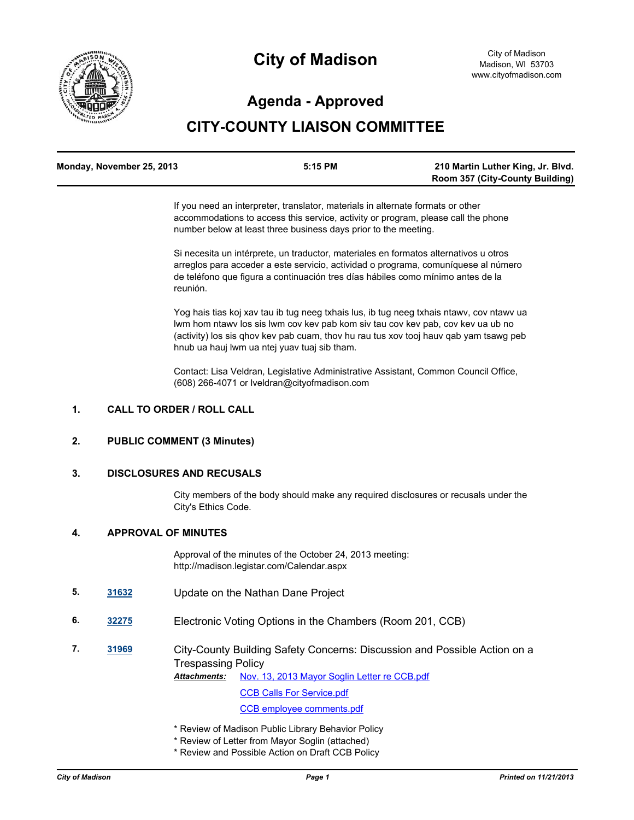

# **Agenda - Approved**

# **CITY-COUNTY LIAISON COMMITTEE**

| Monday, November 25, 2013 | $5:15$ PM | 210 Martin Luther King, Jr. Blvd.      |
|---------------------------|-----------|----------------------------------------|
|                           |           | <b>Room 357 (City-County Building)</b> |

If you need an interpreter, translator, materials in alternate formats or other accommodations to access this service, activity or program, please call the phone number below at least three business days prior to the meeting.

Si necesita un intérprete, un traductor, materiales en formatos alternativos u otros arreglos para acceder a este servicio, actividad o programa, comuníquese al número de teléfono que figura a continuación tres días hábiles como mínimo antes de la reunión.

Yog hais tias koj xav tau ib tug neeg txhais lus, ib tug neeg txhais ntawv, cov ntawv ua lwm hom ntawv los sis lwm cov kev pab kom siv tau cov kev pab, cov kev ua ub no (activity) los sis qhov kev pab cuam, thov hu rau tus xov tooj hauv qab yam tsawg peb hnub ua hauj lwm ua ntej yuav tuaj sib tham.

Contact: Lisa Veldran, Legislative Administrative Assistant, Common Council Office, (608) 266-4071 or lveldran@cityofmadison.com

# **1. CALL TO ORDER / ROLL CALL**

### **2. PUBLIC COMMENT (3 Minutes)**

#### **3. DISCLOSURES AND RECUSALS**

City members of the body should make any required disclosures or recusals under the City's Ethics Code.

### **4. APPROVAL OF MINUTES**

Approval of the minutes of the October 24, 2013 meeting: http://madison.legistar.com/Calendar.aspx

- **5. [31632](http://madison.legistar.com/gateway.aspx?m=l&id=/matter.aspx?key=34626)** Update on the Nathan Dane Project
- **6. [32275](http://madison.legistar.com/gateway.aspx?m=l&id=/matter.aspx?key=35296)** Electronic Voting Options in the Chambers (Room 201, CCB)
- **7. [31969](http://madison.legistar.com/gateway.aspx?m=l&id=/matter.aspx?key=34976)** City-County Building Safety Concerns: Discussion and Possible Action on a Trespassing Policy [Nov. 13, 2013 Mayor Soglin Letter re CCB.pdf](http://madison.legistar.com/gateway.aspx?M=F&ID=08cc3b7d-71f3-4643-b1f7-e810e38a8bef.pdf) *Attachments:*

[CCB Calls For Service.pdf](http://madison.legistar.com/gateway.aspx?M=F&ID=ebd2d56a-485b-4593-8559-58a2fdd6715f.pdf)

## [CCB employee comments.pdf](http://madison.legistar.com/gateway.aspx?M=F&ID=cfdff9a7-0ad8-4521-b242-c9f20eb3cf9d.pdf)

- \* Review of Madison Public Library Behavior Policy
- \* Review of Letter from Mayor Soglin (attached)
- \* Review and Possible Action on Draft CCB Policy